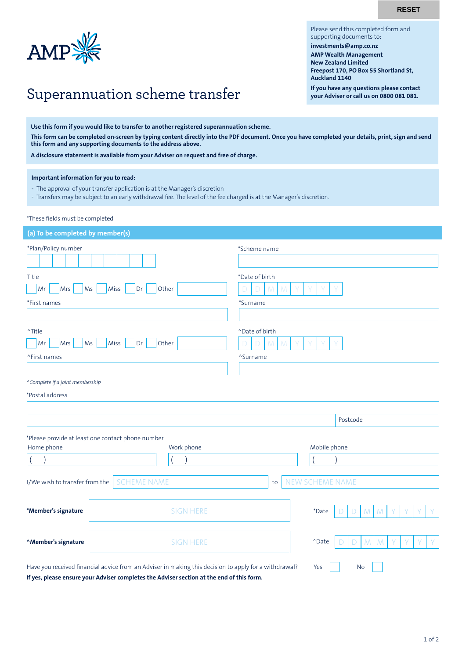**RESET**

Please send this completed form and

**Freepost 170, PO Box 55 Shortland St,** 

**If you have any questions please contact your Adviser or call us on 0800 081 081.**

supporting documents to: **investments@amp.co.nz AMP Wealth Management New Zealand Limited** 

**Auckland 1140**



## Superannuation scheme transfer

**Use this form if you would like to transfer to another registered superannuation scheme.**

**This form can be completed on-screen by typing content directly into the PDF document. Once you have completed your details, print, sign and send this form and any supporting documents to the address above.**

**A disclosure statement is available from your Adviser on request and free of charge.**

**Important information for you to read:**

- The approval of your transfer application is at the Manager's discretion
- Transfers may be subject to an early withdrawal fee. The level of the fee charged is at the Manager's discretion.

\*These fields must be completed

| (a) To be completed by member(s)                                                                      |                                                                                  |  |  |  |  |  |  |  |
|-------------------------------------------------------------------------------------------------------|----------------------------------------------------------------------------------|--|--|--|--|--|--|--|
| *Plan/Policy number                                                                                   | *Scheme name                                                                     |  |  |  |  |  |  |  |
| Title<br>Other<br>Mr<br>Mrs<br>Ms<br>Miss<br>Dr<br>*First names                                       | *Date of birth<br>*Surname                                                       |  |  |  |  |  |  |  |
| ^Title<br>Mrs<br>Ms<br>Miss<br>Other<br>Mr<br>Dr<br>^First names                                      | ^Date of birth<br>Ð<br>^Surname                                                  |  |  |  |  |  |  |  |
| ^Complete if a joint membership<br>*Postal address                                                    |                                                                                  |  |  |  |  |  |  |  |
|                                                                                                       | Postcode                                                                         |  |  |  |  |  |  |  |
| *Please provide at least one contact phone number<br>Home phone<br>Work phone                         | Mobile phone                                                                     |  |  |  |  |  |  |  |
| $\overline{\phantom{a}}$                                                                              |                                                                                  |  |  |  |  |  |  |  |
| <b>SCHEME NAME</b><br>I/We wish to transfer from the                                                  | NEW SCHEME NAME<br>to                                                            |  |  |  |  |  |  |  |
| <b>SIGN HERE</b><br>*Member's signature                                                               | ${\mathsf M}$<br>*Date<br>M<br>$\mathsf D$<br>Υ<br>D                             |  |  |  |  |  |  |  |
| "Member's signature<br><b>SIGN HERE</b>                                                               | ${\mathsf M}$<br>${\mathsf M}$<br>Y<br>Y<br>$^{\wedge}$ Date<br>D<br>Y<br>D<br>V |  |  |  |  |  |  |  |
| Have you received financial advice from an Adviser in making this decision to apply for a withdrawal? | Yes<br><b>No</b>                                                                 |  |  |  |  |  |  |  |

**If yes, please ensure your Adviser completes the Adviser section at the end of this form.**